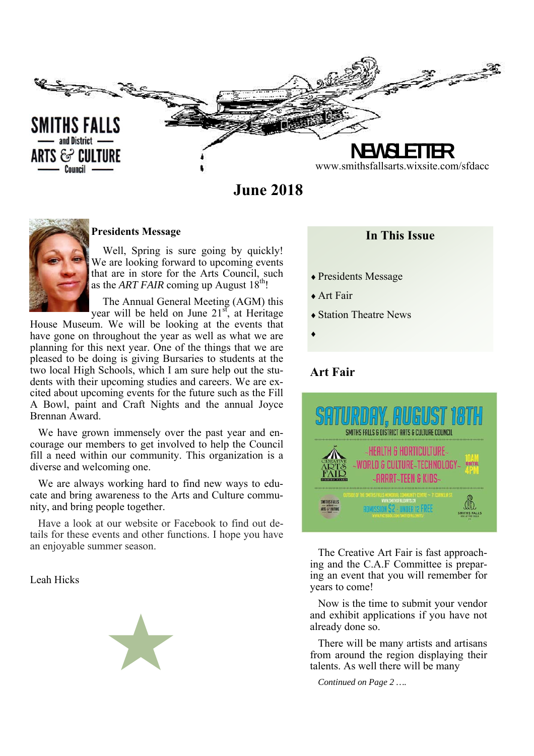

**June 2018** 



#### **Presidents Message**

Well, Spring is sure going by quickly! We are looking forward to upcoming events that are in store for the Arts Council, such as the *ART FAIR* coming up August  $18<sup>th</sup>$ !

 The Annual General Meeting (AGM) this year will be held on June  $21<sup>st</sup>$ , at Heritage

House Museum. We will be looking at the events that have gone on throughout the year as well as what we are planning for this next year. One of the things that we are pleased to be doing is giving Bursaries to students at the two local High Schools, which I am sure help out the students with their upcoming studies and careers. We are excited about upcoming events for the future such as the Fill A Bowl, paint and Craft Nights and the annual Joyce Brennan Award.

We have grown immensely over the past year and encourage our members to get involved to help the Council fill a need within our community. This organization is a diverse and welcoming one.

We are always working hard to find new ways to educate and bring awareness to the Arts and Culture community, and bring people together.

Have a look at our website or Facebook to find out details for these events and other functions. I hope you have an enjoyable summer season.

Leah Hicks

# **In This Issue**

- Presidents Message
- Art Fair
- Station Theatre News
- $\blacklozenge$

# **Art Fair**



The Creative Art Fair is fast approaching and the C.A.F Committee is preparing an event that you will remember for years to come!

Now is the time to submit your vendor and exhibit applications if you have not already done so.

There will be many artists and artisans from around the region displaying their talents. As well there will be many

*Continued on Page 2 ….*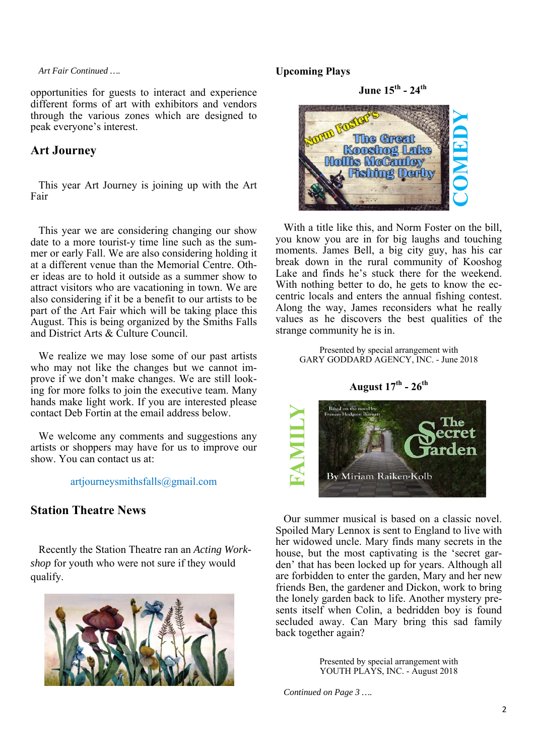*Art Fair Continued ….* 

opportunities for guests to interact and experience different forms of art with exhibitors and vendors through the various zones which are designed to peak everyone's interest.

## **Art Journey**

This year Art Journey is joining up with the Art Fair

This year we are considering changing our show date to a more tourist-y time line such as the summer or early Fall. We are also considering holding it at a different venue than the Memorial Centre. Other ideas are to hold it outside as a summer show to attract visitors who are vacationing in town. We are also considering if it be a benefit to our artists to be part of the Art Fair which will be taking place this August. This is being organized by the Smiths Falls and District Arts & Culture Council.

We realize we may lose some of our past artists who may not like the changes but we cannot improve if we don't make changes. We are still looking for more folks to join the executive team. Many hands make light work. If you are interested please contact Deb Fortin at the email address below.

We welcome any comments and suggestions any artists or shoppers may have for us to improve our show. You can contact us at:

artjourneysmithsfalls@gmail.com

# **Station Theatre News**

Recently the Station Theatre ran an *Acting Workshop* for youth who were not sure if they would qualify.



## **Upcoming Plays**

**June 15th - 24th** 



With a title like this, and Norm Foster on the bill, you know you are in for big laughs and touching moments. James Bell, a big city guy, has his car break down in the rural community of Kooshog Lake and finds he's stuck there for the weekend. With nothing better to do, he gets to know the eccentric locals and enters the annual fishing contest. Along the way, James reconsiders what he really values as he discovers the best qualities of the strange community he is in.

> Presented by special arrangement with GARY GODDARD AGENCY, INC. - June 2018

## **August 17th - 26th**



Our summer musical is based on a classic novel. Spoiled Mary Lennox is sent to England to live with her widowed uncle. Mary finds many secrets in the house, but the most captivating is the 'secret garden' that has been locked up for years. Although all are forbidden to enter the garden, Mary and her new friends Ben, the gardener and Dickon, work to bring the lonely garden back to life. Another mystery presents itself when Colin, a bedridden boy is found secluded away. Can Mary bring this sad family back together again? **Example 19 Excellent Proces Belgevine**<br> **Continued Discussions Process Belgevine By Miriam**<br> **Continued Mary Lennox**<br>
Provide Uncle Discussions Provident Continued on Page 3 ….<br>
Presented by spin Continued on Page 3 ….<br>
C

Presented by special arrangement with YOUTH PLAYS, INC. - August 2018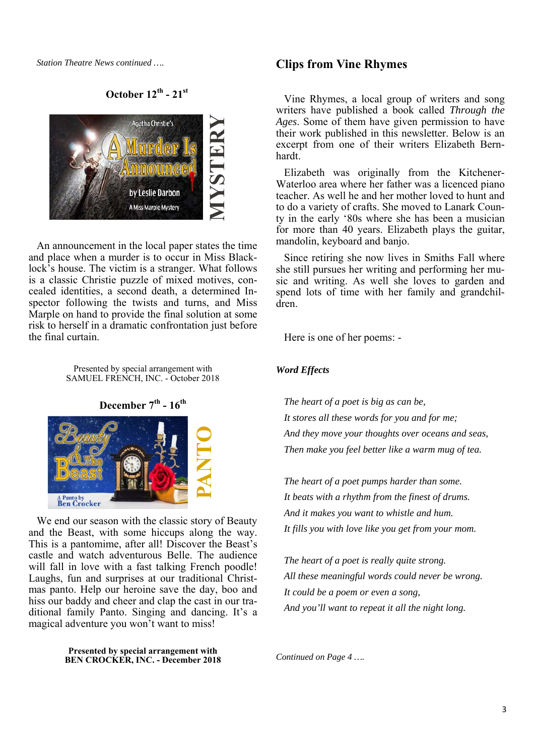*Station Theatre News continued ….* 

**October 12th - 21st**



An announcement in the local paper states the time and place when a murder is to occur in Miss Blacklock's house. The victim is a stranger. What follows is a classic Christie puzzle of mixed motives, concealed identities, a second death, a determined Inspector following the twists and turns, and Miss Marple on hand to provide the final solution at some risk to herself in a dramatic confrontation just before the final curtain.

> Presented by special arrangement with SAMUEL FRENCH, INC. - October 2018

December 7<sup>th</sup> - 16<sup>th</sup>



We end our season with the classic story of Beauty and the Beast, with some hiccups along the way. This is a pantomime, after all! Discover the Beast's castle and watch adventurous Belle. The audience will fall in love with a fast talking French poodle! Laughs, fun and surprises at our traditional Christmas panto. Help our heroine save the day, boo and hiss our baddy and cheer and clap the cast in our traditional family Panto. Singing and dancing. It's a magical adventure you won't want to miss!

> **Presented by special arrangement with BEN CROCKER, INC. - December 2018**

### **Clips from Vine Rhymes**

Vine Rhymes, a local group of writers and song writers have published a book called *Through the Ages*. Some of them have given permission to have their work published in this newsletter. Below is an excerpt from one of their writers Elizabeth Bernhardt.

Elizabeth was originally from the Kitchener-Waterloo area where her father was a licenced piano teacher. As well he and her mother loved to hunt and to do a variety of crafts. She moved to Lanark County in the early '80s where she has been a musician for more than 40 years. Elizabeth plays the guitar, mandolin, keyboard and banjo.

Since retiring she now lives in Smiths Fall where she still pursues her writing and performing her music and writing. As well she loves to garden and spend lots of time with her family and grandchildren.

Here is one of her poems: -

#### *Word Effects*

*The heart of a poet is big as can be, It stores all these words for you and for me; And they move your thoughts over oceans and seas, Then make you feel better like a warm mug of tea.* 

*The heart of a poet pumps harder than some. It beats with a rhythm from the finest of drums. And it makes you want to whistle and hum. It fills you with love like you get from your mom.* 

*The heart of a poet is really quite strong. All these meaningful words could never be wrong. It could be a poem or even a song, And you'll want to repeat it all the night long.*